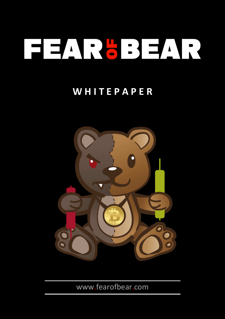# **FILINGBRATE**

## **W H I T E P A P E R**



www.fearofbear.com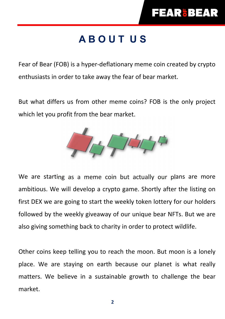# **A B O U T U S**

Fear of Bear (FOB) is a hyper-deflationary meme coin created by crypto enthusiasts in order to take away the fear of bear market.

But what differs us from other meme coins? FOB is the only project which let you profit from the bear market.



We are starting as a meme coin but actually our plans are more ambitious. We will develop a crypto game. Shortly after the listing on first DEX we are going to start the weekly token lottery for our holders followed by the weekly giveaway of our unique bear NFTs. But we are also giving something back to charity in order to protect wildlife.

Other coins keep telling you to reach the moon. But moon is a lonely place. We are staying on earth because our planet is what really matters. We believe in a sustainable growth to challenge the bear market.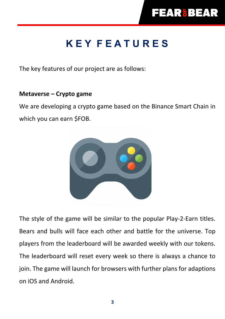# **K E Y F E A T U R E S**

The key features of our project are as follows:

#### **Metaverse – Crypto game**

We are developing a crypto game based on the Binance Smart Chain in which you can earn \$FOB.



The style of the game will be similar to the popular Play-2-Earn titles. Bears and bulls will face each other and battle for the universe. Top players from the leaderboard will be awarded weekly with our tokens. The leaderboard will reset every week so there is always a chance to join. The game will launch for browsers with further plans for adaptions on iOS and Android.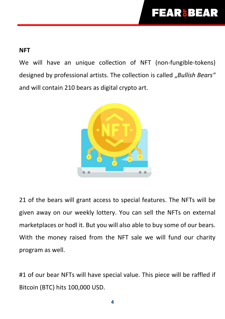## **FEAR'BEAR**

#### **NFT**

We will have an unique collection of NFT (non-fungible-tokens) designed by professional artists. The collection is called "Bullish Bears" and will contain 210 bears as digital crypto art.



21 of the bears will grant access to special features. The NFTs will be given away on our weekly lottery. You can sell the NFTs on external marketplaces or hodl it. But you will also able to buy some of our bears. With the money raised from the NFT sale we will fund our charity program as well.

#1 of our bear NFTs will have special value. This piece will be raffled if Bitcoin (BTC) hits 100,000 USD.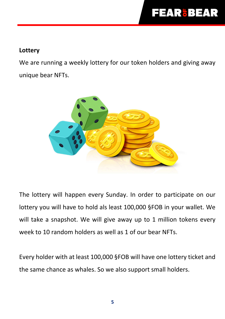#### **Lottery**

We are running a weekly lottery for our token holders and giving away unique bear NFTs.



The lottery will happen every Sunday. In order to participate on our lottery you will have to hold als least 100,000 §FOB in your wallet. We will take a snapshot. We will give away up to 1 million tokens every week to 10 random holders as well as 1 of our bear NFTs.

Every holder with at least 100,000 §FOB will have one lottery ticket and the same chance as whales. So we also support small holders.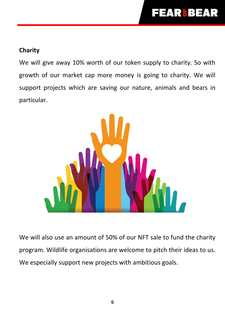#### **Charity**

We will give away 10% worth of our token supply to charity. So with growth of our market cap more money is going to charity. We will support projects which are saving our nature, animals and bears in particular.



We will also use an amount of 50% of our NFT sale to fund the charity program. Wildlife organisations are welcome to pitch their ideas to us. We especially support new projects with ambitious goals.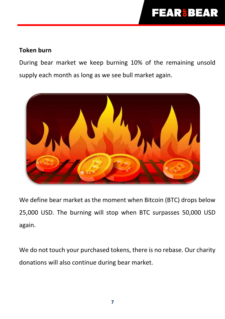## **FEAR&BEAR**

#### **Token burn**

During bear market we keep burning 10% of the remaining unsold supply each month as long as we see bull market again.



We define bear market as the moment when Bitcoin (BTC) drops below 25,000 USD. The burning will stop when BTC surpasses 50,000 USD again.

We do not touch your purchased tokens, there is no rebase. Our charity donations will also continue during bear market.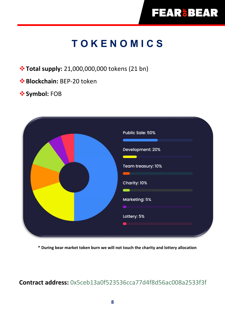# **T O K E N O M I C S**

**Total supply:** 21,000,000,000 tokens (21 bn)

**Blockchain: BEP-20 token** 

#### $\diamondsuit$  **Symbol: FOB**

| Public Sale: 50%<br>Development: 20%<br>and the state of the state of the state of the state of the state of the state of the state of the state of th |
|--------------------------------------------------------------------------------------------------------------------------------------------------------|
| Team treasury: 10%<br>Charity: 10%                                                                                                                     |
| Marketing: 5%<br>Lottery: 5%                                                                                                                           |
|                                                                                                                                                        |

**\* During bear market token burn we will not touch the charity and lottery allocation** 

**Contract address:** 0x5ceb13a0f523536cca77d4f8d56ac008a2533f3f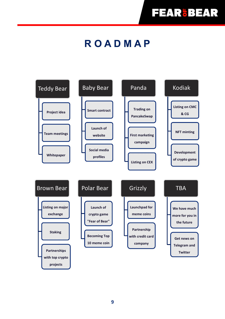## **R O A D M A P**